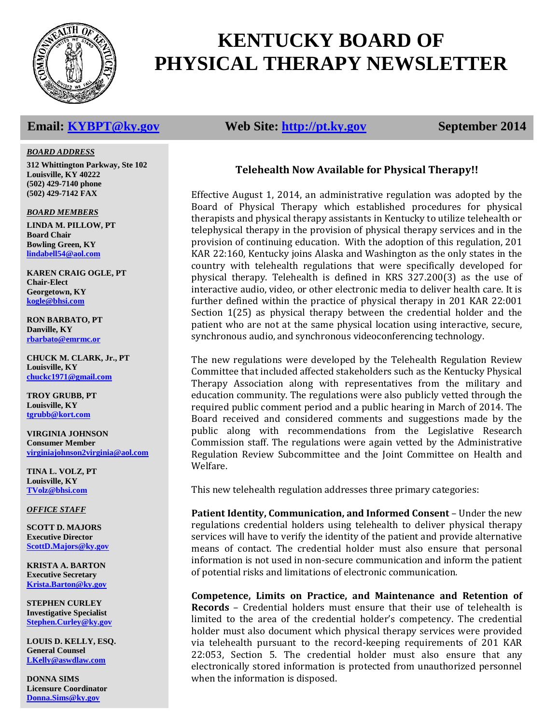

# **KENTUCKY BOARD OF PHYSICAL THERAPY NEWSLETTER**

## **Email: [KYBPT@ky.gov](mailto:KYBPT@ky.gov) Web Site: [http://pt.ky.gov](http://pt.ky.gov/) September 2014**

### *BOARD ADDRESS*

**312 Whittington Parkway, Ste 102 Louisville, KY 40222 (502) 429-7140 phone (502) 429-7142 FAX**

*BOARD MEMBERS*

**LINDA M. PILLOW, PT Board Chair Bowling Green, KY [lindabell54@aol.com](mailto:blainpt@netzero.net)**

**KAREN CRAIG OGLE, PT Chair-Elect Georgetown, KY [kogle@bhsi.com](mailto:kogle@bhsi.com)**

**RON BARBATO, PT Danville, KY [rbarbato@emrmc.or](mailto:rbarbato@emrmc.or)**

**CHUCK M. CLARK, Jr., PT Louisville, KY [chuckc1971@gmail.com](mailto:chuckc1971@gmail.com)**

**TROY GRUBB, PT Louisville, KY [tgrubb@kort.com](mailto:tgrubb@kort.com)**

**VIRGINIA JOHNSON Consumer Member [virginiajohnson2virginia@aol.com](mailto:vjohnson14769@yahoo.com)**

**TINA L. VOLZ, PT Louisville, KY [TVolz@bhsi.com](mailto:TVolz@bhsi.com)**

*OFFICE STAFF*

**SCOTT D. MAJORS Executive Director [ScottD.Majors@ky.gov](mailto:ScottD.Majors@ky.gov)**

**KRISTA A. BARTON Executive Secretary [Krista.Barton@ky.gov](mailto:Krista.Barton@ky.gov)**

**STEPHEN CURLEY Investigative Specialist [Stephen.Curley@ky.gov](mailto:Stephen.Curley@ky.gov)**

**LOUIS D. KELLY, ESQ. General Counsel [LKelly@aswdlaw.com](mailto:LKelly@aswdlaw.com)**

**DONNA SIMS Licensure Coordinator [Donna.Sims@ky.gov](mailto:Donna.Sims@ky.gov)**

## **Telehealth Now Available for Physical Therapy!!**

Effective August 1, 2014, an administrative regulation was adopted by the Board of Physical Therapy which established procedures for physical therapists and physical therapy assistants in Kentucky to utilize telehealth or telephysical therapy in the provision of physical therapy services and in the provision of continuing education. With the adoption of this regulation, 201 KAR 22:160, Kentucky joins Alaska and Washington as the only states in the country with telehealth regulations that were specifically developed for physical therapy. Telehealth is defined in KRS 327.200(3) as the use of interactive audio, video, or other electronic media to deliver health care. It is further defined within the practice of physical therapy in 201 KAR 22:001 Section 1(25) as physical therapy between the credential holder and the patient who are not at the same physical location using interactive, secure, synchronous audio, and synchronous videoconferencing technology.

The new regulations were developed by the Telehealth Regulation Review Committee that included affected stakeholders such as the Kentucky Physical Therapy Association along with representatives from the military and education community. The regulations were also publicly vetted through the required public comment period and a public hearing in March of 2014. The Board received and considered comments and suggestions made by the public along with recommendations from the Legislative Research Commission staff. The regulations were again vetted by the Administrative Regulation Review Subcommittee and the Joint Committee on Health and Welfare.

This new telehealth regulation addresses three primary categories:

**Patient Identity, Communication, and Informed Consent** – Under the new regulations credential holders using telehealth to deliver physical therapy services will have to verify the identity of the patient and provide alternative means of contact. The credential holder must also ensure that personal information is not used in non-secure communication and inform the patient of potential risks and limitations of electronic communication.

**Competence, Limits on Practice, and Maintenance and Retention of Records** – Credential holders must ensure that their use of telehealth is limited to the area of the credential holder's competency. The credential holder must also document which physical therapy services were provided via telehealth pursuant to the record-keeping requirements of 201 KAR 22:053, Section 5. The credential holder must also ensure that any electronically stored information is protected from unauthorized personnel when the information is disposed.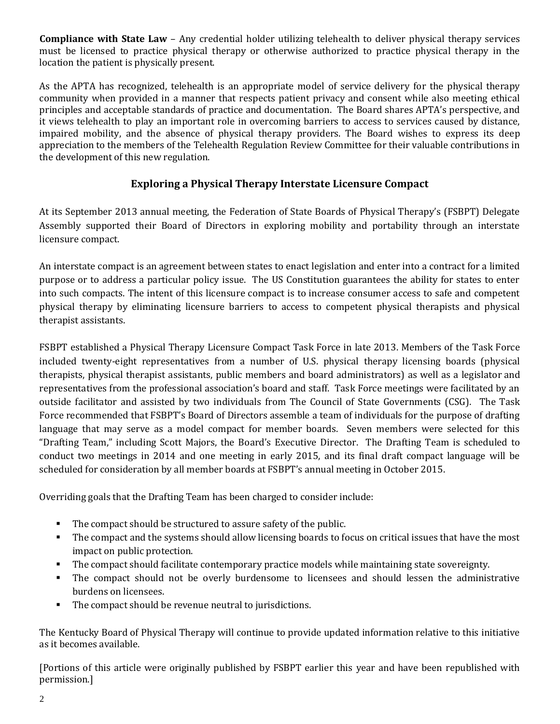**Compliance with State Law** – Any credential holder utilizing telehealth to deliver physical therapy services must be licensed to practice physical therapy or otherwise authorized to practice physical therapy in the location the patient is physically present.

As the APTA has recognized, telehealth is an appropriate model of service delivery for the physical therapy community when provided in a manner that respects patient privacy and consent while also meeting ethical principles and acceptable standards of practice and documentation. The Board shares APTA's perspective, and it views telehealth to play an important role in overcoming barriers to access to services caused by distance, impaired mobility, and the absence of physical therapy providers. The Board wishes to express its deep appreciation to the members of the Telehealth Regulation Review Committee for their valuable contributions in the development of this new regulation.

## **Exploring a Physical Therapy Interstate Licensure Compact**

At its September 2013 annual meeting, the Federation of State Boards of Physical Therapy's (FSBPT) Delegate Assembly supported their Board of Directors in exploring mobility and portability through an interstate licensure compact.

An interstate compact is an agreement between states to enact legislation and enter into a contract for a limited purpose or to address a particular policy issue. The US Constitution guarantees the ability for states to enter into such compacts. The intent of this licensure compact is to increase consumer access to safe and competent physical therapy by eliminating licensure barriers to access to competent physical therapists and physical therapist assistants.

FSBPT established a Physical Therapy Licensure Compact Task Force in late 2013. Members of the Task Force included twenty-eight representatives from a number of U.S. physical therapy licensing boards (physical therapists, physical therapist assistants, public members and board administrators) as well as a legislator and representatives from the professional association's board and staff. Task Force meetings were facilitated by an outside facilitator and assisted by two individuals from The Council of State Governments (CSG). The Task Force recommended that FSBPT's Board of Directors assemble a team of individuals for the purpose of drafting language that may serve as a model compact for member boards. Seven members were selected for this "Drafting Team," including Scott Majors, the Board's Executive Director. The Drafting Team is scheduled to conduct two meetings in 2014 and one meeting in early 2015, and its final draft compact language will be scheduled for consideration by all member boards at FSBPT's annual meeting in October 2015.

Overriding goals that the Drafting Team has been charged to consider include:

- The compact should be structured to assure safety of the public.
- The compact and the systems should allow licensing boards to focus on critical issues that have the most impact on public protection.
- The compact should facilitate contemporary practice models while maintaining state sovereignty.
- The compact should not be overly burdensome to licensees and should lessen the administrative burdens on licensees.
- The compact should be revenue neutral to jurisdictions.

The Kentucky Board of Physical Therapy will continue to provide updated information relative to this initiative as it becomes available.

[Portions of this article were originally published by FSBPT earlier this year and have been republished with permission.]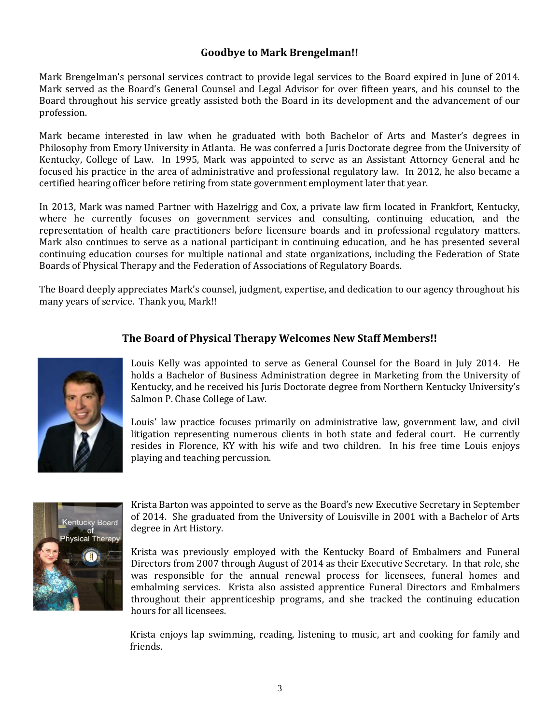## **Goodbye to Mark Brengelman!!**

Mark Brengelman's personal services contract to provide legal services to the Board expired in June of 2014. Mark served as the Board's General Counsel and Legal Advisor for over fifteen years, and his counsel to the Board throughout his service greatly assisted both the Board in its development and the advancement of our profession.

Mark became interested in law when he graduated with both Bachelor of Arts and Master's degrees in Philosophy from Emory University in Atlanta. He was conferred a Juris Doctorate degree from the University of Kentucky, College of Law. In 1995, Mark was appointed to serve as an Assistant Attorney General and he focused his practice in the area of administrative and professional regulatory law. In 2012, he also became a certified hearing officer before retiring from state government employment later that year.

In 2013, Mark was named Partner with Hazelrigg and Cox, a private law firm located in Frankfort, Kentucky, where he currently focuses on government services and consulting, continuing education, and the representation of health care practitioners before licensure boards and in professional regulatory matters. Mark also continues to serve as a national participant in continuing education, and he has presented several continuing education courses for multiple national and state organizations, including the Federation of State Boards of Physical Therapy and the Federation of Associations of Regulatory Boards.

The Board deeply appreciates Mark's counsel, judgment, expertise, and dedication to our agency throughout his many years of service. Thank you, Mark!!

## **The Board of Physical Therapy Welcomes New Staff Members!!**



Louis Kelly was appointed to serve as General Counsel for the Board in July 2014. He holds a Bachelor of Business Administration degree in Marketing from the University of Kentucky, and he received his Juris Doctorate degree from Northern Kentucky University's Salmon P. Chase College of Law.

Louis' law practice focuses primarily on administrative law, government law, and civil litigation representing numerous clients in both state and federal court. He currently resides in Florence, KY with his wife and two children. In his free time Louis enjoys playing and teaching percussion.



Krista Barton was appointed to serve as the Board's new Executive Secretary in September of 2014. She graduated from the University of Louisville in 2001 with a Bachelor of Arts degree in Art History.

Krista was previously employed with the Kentucky Board of Embalmers and Funeral Directors from 2007 through August of 2014 as their Executive Secretary. In that role, she was responsible for the annual renewal process for licensees, funeral homes and embalming services. Krista also assisted apprentice Funeral Directors and Embalmers throughout their apprenticeship programs, and she tracked the continuing education hours for all licensees.

Krista enjoys lap swimming, reading, listening to music, art and cooking for family and friends.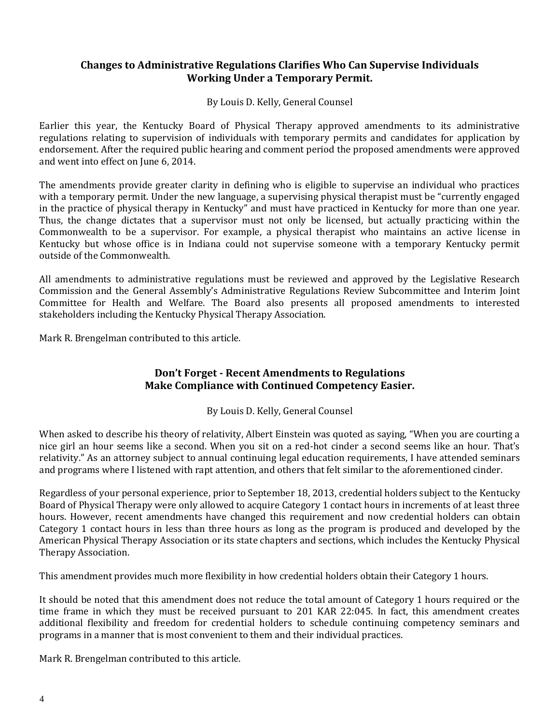## **Changes to Administrative Regulations Clarifies Who Can Supervise Individuals Working Under a Temporary Permit.**

By Louis D. Kelly, General Counsel

Earlier this year, the Kentucky Board of Physical Therapy approved amendments to its administrative regulations relating to supervision of individuals with temporary permits and candidates for application by endorsement. After the required public hearing and comment period the proposed amendments were approved and went into effect on June 6, 2014.

The amendments provide greater clarity in defining who is eligible to supervise an individual who practices with a temporary permit. Under the new language, a supervising physical therapist must be "currently engaged in the practice of physical therapy in Kentucky" and must have practiced in Kentucky for more than one year. Thus, the change dictates that a supervisor must not only be licensed, but actually practicing within the Commonwealth to be a supervisor. For example, a physical therapist who maintains an active license in Kentucky but whose office is in Indiana could not supervise someone with a temporary Kentucky permit outside of the Commonwealth.

All amendments to administrative regulations must be reviewed and approved by the Legislative Research Commission and the General Assembly's Administrative Regulations Review Subcommittee and Interim Joint Committee for Health and Welfare. The Board also presents all proposed amendments to interested stakeholders including the Kentucky Physical Therapy Association.

Mark R. Brengelman contributed to this article.

## **Don't Forget - Recent Amendments to Regulations Make Compliance with Continued Competency Easier.**

By Louis D. Kelly, General Counsel

When asked to describe his theory of relativity, Albert Einstein was quoted as saying, "When you are courting a nice girl an hour seems like a second. When you sit on a red-hot cinder a second seems like an hour. That's relativity." As an attorney subject to annual continuing legal education requirements, I have attended seminars and programs where I listened with rapt attention, and others that felt similar to the aforementioned cinder.

Regardless of your personal experience, prior to September 18, 2013, credential holders subject to the Kentucky Board of Physical Therapy were only allowed to acquire Category 1 contact hours in increments of at least three hours. However, recent amendments have changed this requirement and now credential holders can obtain Category 1 contact hours in less than three hours as long as the program is produced and developed by the American Physical Therapy Association or its state chapters and sections, which includes the Kentucky Physical Therapy Association.

This amendment provides much more flexibility in how credential holders obtain their Category 1 hours.

It should be noted that this amendment does not reduce the total amount of Category 1 hours required or the time frame in which they must be received pursuant to 201 KAR 22:045. In fact, this amendment creates additional flexibility and freedom for credential holders to schedule continuing competency seminars and programs in a manner that is most convenient to them and their individual practices.

Mark R. Brengelman contributed to this article.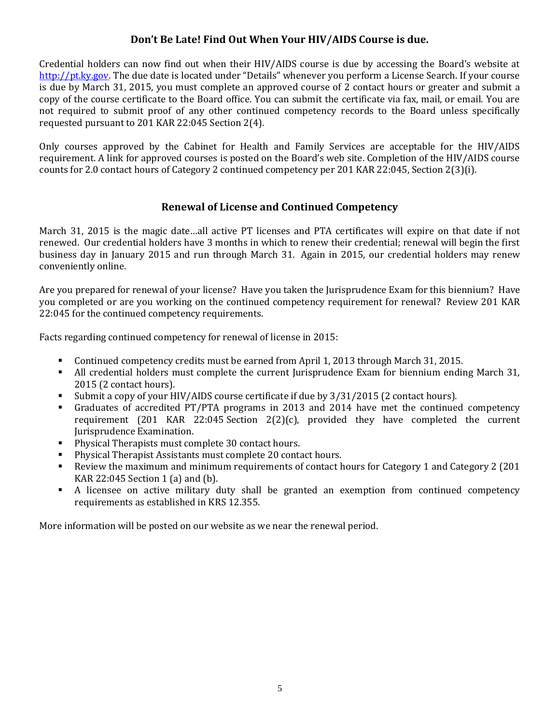## **Don't Be Late! Find Out When Your HIV/AIDS Course is due.**

Credential holders can now find out when their HIV/AIDS course is due by accessing the Board's website at [http://pt.ky.gov](http://pt.ky.gov/). The due date is located under "Details" whenever you perform a License Search. If your course is due by March 31, 2015, you must complete an approved course of 2 contact hours or greater and submit a copy of the course certificate to the Board office. You can submit the certificate via fax, mail, or email. You are not required to submit proof of any other continued competency records to the Board unless specifically requested pursuant to 201 KAR 22:045 Section 2(4).

Only courses approved by the Cabinet for Health and Family Services are acceptable for the HIV/AIDS requirement. A link for approved courses is posted on the Board's web site. Completion of the HIV/AIDS course counts for 2.0 contact hours of Category 2 continued competency per 201 KAR 22:045, Section 2(3)(i).

## **Renewal of License and Continued Competency**

March 31, 2015 is the magic date…all active PT licenses and PTA certificates will expire on that date if not renewed. Our credential holders have 3 months in which to renew their credential; renewal will begin the first business day in January 2015 and run through March 31. Again in 2015, our credential holders may renew conveniently online.

Are you prepared for renewal of your license? Have you taken the Jurisprudence Exam for this biennium? Have you completed or are you working on the continued competency requirement for renewal? Review 201 KAR 22:045 for the continued competency requirements.

Facts regarding continued competency for renewal of license in 2015:

- Continued competency credits must be earned from April 1, 2013 through March 31, 2015.
- All credential holders must complete the current Jurisprudence Exam for biennium ending March 31, 2015 (2 contact hours).
- Submit a copy of your HIV/AIDS course certificate if due by 3/31/2015 (2 contact hours).
- Graduates of accredited PT/PTA programs in 2013 and 2014 have met the continued competency requirement (201 KAR 22:045 Section 2(2)(c), provided they have completed the current Jurisprudence Examination.
- Physical Therapists must complete 30 contact hours.
- Physical Therapist Assistants must complete 20 contact hours.
- Review the maximum and minimum requirements of contact hours for Category 1 and Category 2 (201 KAR 22:045 Section 1 (a) and (b).
- A licensee on active military duty shall be granted an exemption from continued competency requirements as established in KRS 12.355.

More information will be posted on our website as we near the renewal period.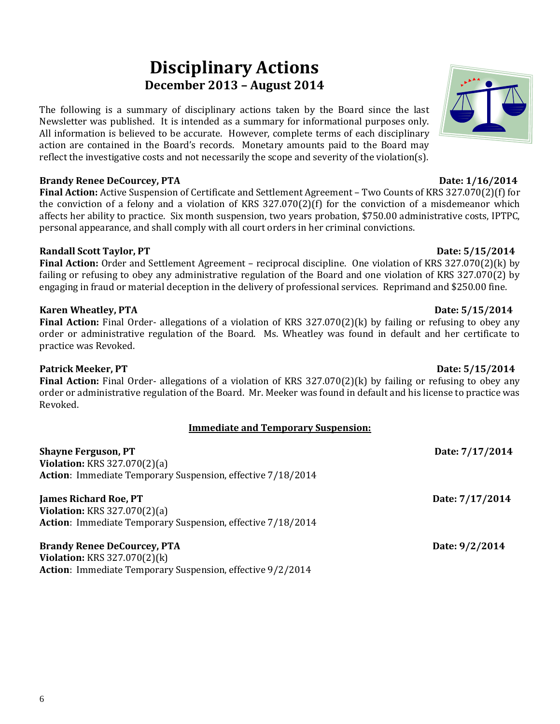## **Disciplinary Actions December 2013 – August 2014**

The following is a summary of disciplinary actions taken by the Board since the last Newsletter was published. It is intended as a summary for informational purposes only. All information is believed to be accurate. However, complete terms of each disciplinary action are contained in the Board's records. Monetary amounts paid to the Board may reflect the investigative costs and not necessarily the scope and severity of the violation(s).

## **Brandy Renee DeCourcey, PTA** 2014

**Final Action:** Active Suspension of Certificate and Settlement Agreement – Two Counts of KRS 327.070(2)(f) for the conviction of a felony and a violation of KRS  $327.070(2)$ (f) for the conviction of a misdemeanor which affects her ability to practice. Six month suspension, two years probation, \$750.00 administrative costs, IPTPC, personal appearance, and shall comply with all court orders in her criminal convictions.

## **Randall Scott Taylor, PT** Date: 5/15/2014

**Final Action:** Order and Settlement Agreement – reciprocal discipline. One violation of KRS 327.070(2)(k) by failing or refusing to obey any administrative regulation of the Board and one violation of KRS 327.070(2) by engaging in fraud or material deception in the delivery of professional services. Reprimand and \$250.00 fine.

## **Karen Wheatley, PTA** Date: 5/15/2014

**Final Action:** Final Order- allegations of a violation of KRS 327.070(2)(k) by failing or refusing to obey any order or administrative regulation of the Board. Ms. Wheatley was found in default and her certificate to practice was Revoked.

## **Patrick Meeker, PT** Date: 5/15/2014

**Final Action:** Final Order- allegations of a violation of KRS 327.070(2)(k) by failing or refusing to obey any order or administrative regulation of the Board. Mr. Meeker was found in default and his license to practice was Revoked.

## **Immediate and Temporary Suspension:**

| <b>Shayne Ferguson, PT</b><br><b>Violation: KRS 327.070(2)(a)</b><br>Action: Immediate Temporary Suspension, effective 7/18/2014<br><b>James Richard Roe, PT</b> | Date: 7/17/2014<br>Date: 7/17/2014 |                                                             |                |
|------------------------------------------------------------------------------------------------------------------------------------------------------------------|------------------------------------|-------------------------------------------------------------|----------------|
|                                                                                                                                                                  |                                    | <b>Violation: KRS 327.070(2)(a)</b>                         |                |
|                                                                                                                                                                  |                                    | Action: Immediate Temporary Suspension, effective 7/18/2014 |                |
|                                                                                                                                                                  |                                    | <b>Brandy Renee DeCourcey, PTA</b>                          | Date: 9/2/2014 |
| <b>Violation:</b> KRS 327.070 $(2)(k)$                                                                                                                           |                                    |                                                             |                |

**Action**: Immediate Temporary Suspension, effective 9/2/2014